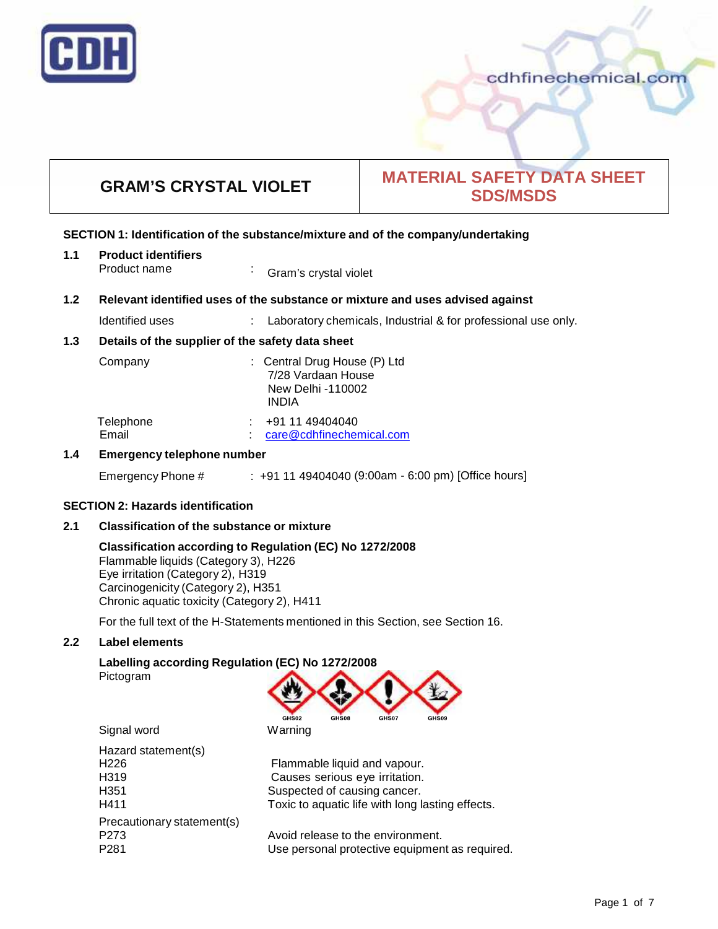

# cdhfinechemical.com

# **GRAM'S CRYSTAL VIOLET MATERIAL SAFETY DATA SHEET SDS/MSDS**

#### **SECTION 1: Identification of the substance/mixture and of the company/undertaking**

| 1.1 | <b>Product identifiers</b> |                       |  |  |
|-----|----------------------------|-----------------------|--|--|
|     | Product name               | Gram's crystal violet |  |  |

#### **1.2 Relevant identified uses of the substance ormixture and uses advised against**

Identified uses : Laboratory chemicals, Industrial & for professional use only.

#### **1.3 Details of the supplier of the safety data sheet**

| Company            | : Central Drug House (P) Ltd<br>7/28 Vardaan House<br>New Delhi -110002<br><b>INDIA</b> |
|--------------------|-----------------------------------------------------------------------------------------|
| Telephone<br>Email | $\div$ +91 11 49404040<br>care@cdhfinechemical.com                                      |

#### **1.4 Emergency telephone number**

Emergency Phone # : +91 11 49404040 (9:00am - 6:00 pm) [Office hours]

#### **SECTION 2: Hazards identification**

## **2.1 Classification of the substance ormixture**

#### **Classification according to Regulation (EC) No 1272/2008**

Flammable liquids (Category 3), H226 Eye irritation (Category 2), H319 Carcinogenicity (Category 2), H351 Chronic aquatic toxicity (Category 2), H411

For the full text of the H-Statements mentioned in this Section, see Section 16.

## **2.2 Label elements**

#### **Labelling according Regulation (EC) No 1272/2008** Pictogram



Signal word Warning Hazard statement(s)

| ι ιαζαιν διαισπιστικον     |                                                  |
|----------------------------|--------------------------------------------------|
| H226                       | Flammable liquid and vapour.                     |
| H319                       | Causes serious eye irritation.                   |
| H351                       | Suspected of causing cancer.                     |
| H411                       | Toxic to aquatic life with long lasting effects. |
| Precautionary statement(s) |                                                  |
| P273                       | Avoid release to the environment.                |
| P281                       | Use personal protective equipment as required.   |
|                            |                                                  |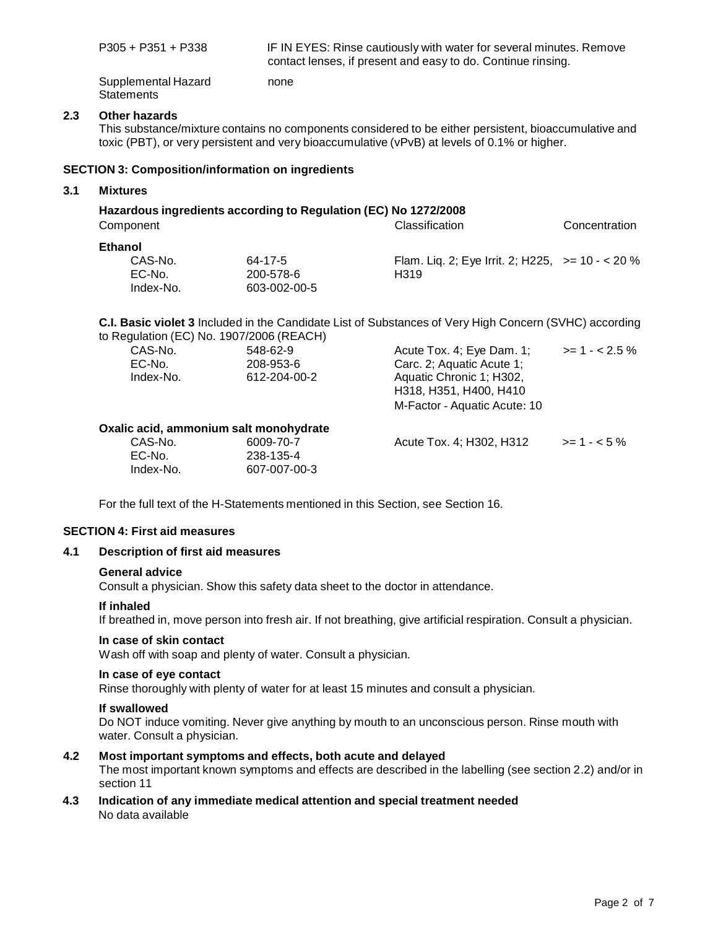|     | $P305 + P351 + P338$                                                         |                                       | IF IN EYES: Rinse cautiously with water for several minutes. Remove<br>contact lenses, if present and easy to do. Continue rinsing.                                                                                                                    |                 |
|-----|------------------------------------------------------------------------------|---------------------------------------|--------------------------------------------------------------------------------------------------------------------------------------------------------------------------------------------------------------------------------------------------------|-----------------|
|     | Supplemental Hazard<br><b>Statements</b>                                     | none                                  |                                                                                                                                                                                                                                                        |                 |
| 2.3 | <b>Other hazards</b>                                                         |                                       | This substance/mixture contains no components considered to be either persistent, bioaccumulative and<br>toxic (PBT), or very persistent and very bioaccumulative (vPvB) at levels of 0.1% or higher.                                                  |                 |
|     | <b>SECTION 3: Composition/information on ingredients</b>                     |                                       |                                                                                                                                                                                                                                                        |                 |
| 3.1 | <b>Mixtures</b>                                                              |                                       |                                                                                                                                                                                                                                                        |                 |
|     | Hazardous ingredients according to Regulation (EC) No 1272/2008<br>Component |                                       | Classification                                                                                                                                                                                                                                         | Concentration   |
|     | <b>Ethanol</b><br>CAS-No.<br>EC-No.<br>Index-No.                             | 64-17-5<br>200-578-6<br>603-002-00-5  | Flam. Liq. 2; Eye Irrit. 2; H225, $>= 10 - 20\%$<br>H <sub>3</sub> 19                                                                                                                                                                                  |                 |
|     | to Regulation (EC) No. 1907/2006 (REACH)<br>CAS-No.<br>EC-No.<br>Index-No.   | 548-62-9<br>208-953-6<br>612-204-00-2 | C.I. Basic violet 3 Included in the Candidate List of Substances of Very High Concern (SVHC) according<br>Acute Tox. 4; Eye Dam. 1;<br>Carc. 2; Aquatic Acute 1;<br>Aquatic Chronic 1; H302,<br>H318, H351, H400, H410<br>M-Factor - Aquatic Acute: 10 | $>= 1 - 2.5 \%$ |
|     | Oxalic acid, ammonium salt monohydrate                                       |                                       |                                                                                                                                                                                                                                                        |                 |
|     | CAS-No.                                                                      | 6009-70-7                             | Acute Tox. 4; H302, H312                                                                                                                                                                                                                               | $>= 1 - 5\%$    |

For the full text of the H-Statements mentioned in this Section, see Section 16.

238-135-4 607-007-00-3

#### **SECTION 4: First aid measures**

EC-No. Index-No.

#### **4.1 Description of first aid measures**

#### **General advice**

Consult a physician. Show this safety data sheet to the doctor in attendance.

#### **If inhaled**

If breathed in, move person into fresh air. If not breathing, give artificial respiration. Consult a physician.

#### **In case of skin contact**

Wash off with soap and plenty of water. Consult a physician.

#### **In case of eye contact**

Rinse thoroughly with plenty of water for at least 15 minutes and consult a physician.

#### **If swallowed**

Do NOT induce vomiting. Never give anything by mouth to an unconscious person. Rinse mouth with water. Consult a physician.

#### **4.2 Most important symptoms and effects, both acute and delayed**

The most important known symptoms and effects are described in the labelling (see section 2.2) and/or in section 11

**4.3 Indication of any immediate medical attention and special treatment needed** No data available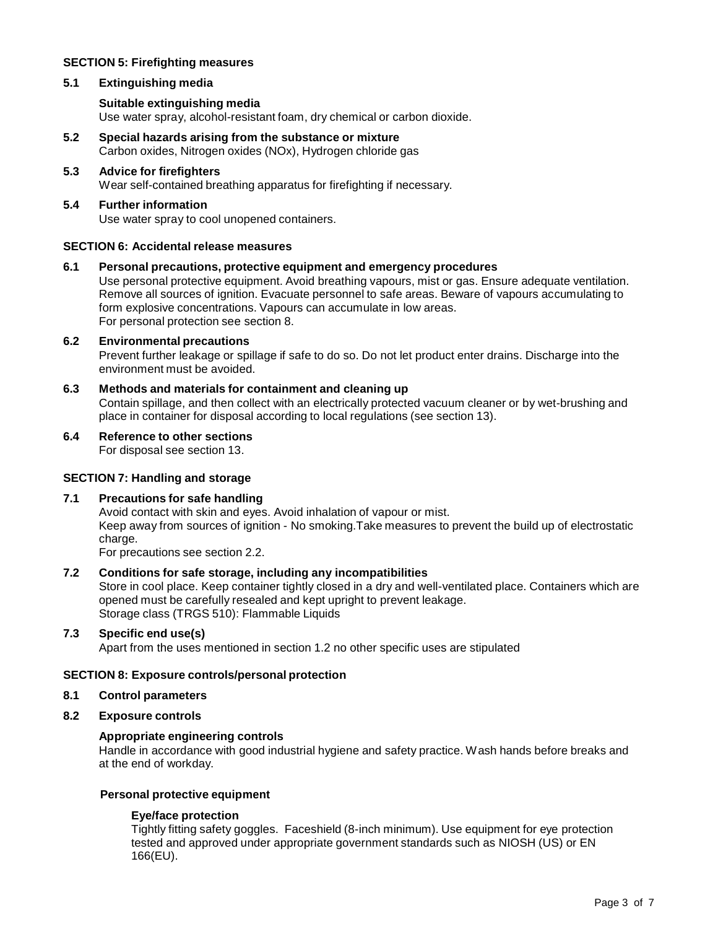# **SECTION 5: Firefighting measures**

# **5.1 Extinguishing media**

# **Suitable extinguishing media**

Use water spray, alcohol-resistant foam, dry chemical or carbon dioxide.

- **5.2 Special hazards arising from the substance ormixture** Carbon oxides, Nitrogen oxides (NOx), Hydrogen chloride gas
- **5.3 Advice for firefighters** Wear self-contained breathing apparatus for firefighting if necessary.

# **5.4 Further information**

Use water spray to cool unopened containers.

## **SECTION 6: Accidental release measures**

**6.1 Personal precautions, protective equipment and emergency procedures**

Use personal protective equipment. Avoid breathing vapours, mist or gas. Ensure adequate ventilation. Remove all sources of ignition. Evacuate personnel to safe areas. Beware of vapours accumulating to form explosive concentrations. Vapours can accumulate in low areas. For personal protection see section 8.

## **6.2 Environmental precautions**

Prevent further leakage or spillage if safe to do so. Do not let product enter drains. Discharge into the environment must be avoided.

**6.3 Methods and materials for containment and cleaning up** Contain spillage, and then collect with an electrically protected vacuum cleaner or by wet-brushing and place in container for disposal according to local regulations (see section 13).

#### **6.4 Reference to other sections**

For disposal see section 13.

## **SECTION 7: Handling and storage**

## **7.1 Precautions for safe handling**

Avoid contact with skin and eyes. Avoid inhalation of vapour or mist. Keep away from sources of ignition - No smoking.Take measures to prevent the build up of electrostatic charge.

For precautions see section 2.2.

# **7.2 Conditions for safe storage, including any incompatibilities**

Store in cool place. Keep container tightly closed in a dry and well-ventilated place. Containers which are opened must be carefully resealed and kept upright to prevent leakage. Storage class (TRGS 510): Flammable Liquids

# **7.3 Specific end use(s)**

Apart from the uses mentioned in section 1.2 no other specific uses are stipulated

#### **SECTION 8: Exposure controls/personal protection**

# **8.1 Control parameters**

## **8.2 Exposure controls**

# **Appropriate engineering controls**

Handle in accordance with good industrial hygiene and safety practice. Wash hands before breaks and at the end of workday.

#### **Personal protective equipment**

## **Eye/face protection**

Tightly fitting safety goggles. Faceshield (8-inch minimum). Use equipment for eye protection tested and approved under appropriate government standards such as NIOSH (US) or EN 166(EU).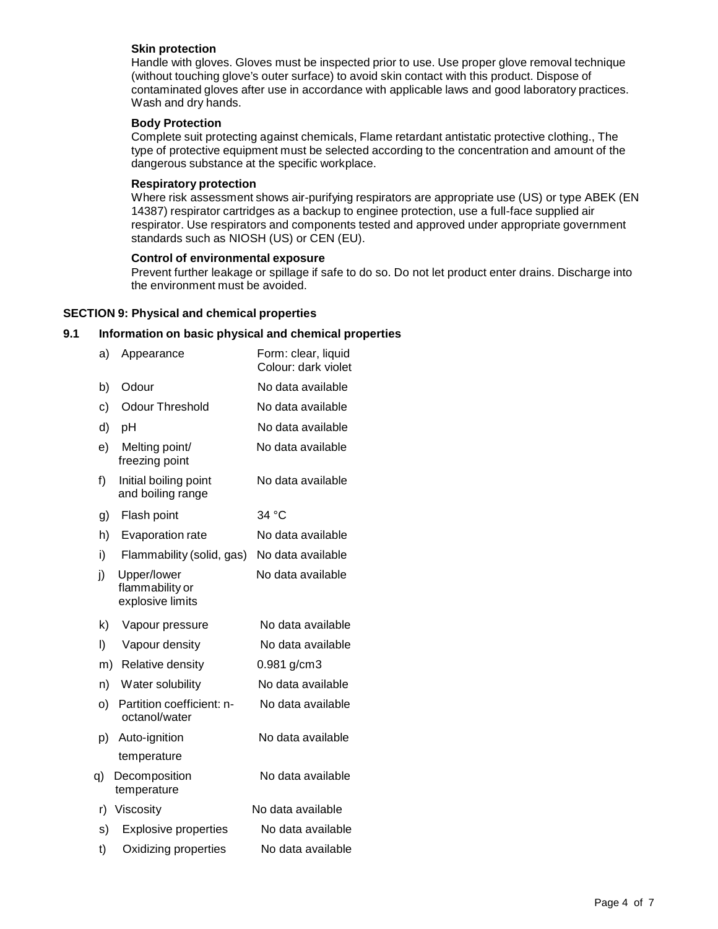# **Skin protection**

Handle with gloves. Gloves must be inspected prior to use. Use proper glove removal technique (without touching glove's outer surface) to avoid skin contact with this product. Dispose of contaminated gloves after use in accordance with applicable laws and good laboratory practices. Wash and dry hands.

# **Body Protection**

Complete suit protecting against chemicals, Flame retardant antistatic protective clothing., The type of protective equipment must be selected according to the concentration and amount of the dangerous substance at the specific workplace.

## **Respiratory protection**

Where risk assessment shows air-purifying respirators are appropriate use (US) or type ABEK (EN 14387) respirator cartridges as a backup to enginee protection, use a full-face supplied air respirator. Use respirators and components tested and approved under appropriate government standards such as NIOSH (US) or CEN (EU).

# **Control of environmental exposure**

Prevent further leakage or spillage if safe to do so. Do not let product enter drains. Discharge into the environment must be avoided.

# **SECTION 9: Physical and chemical properties**

# **9.1 Information on basic physical and chemical properties**

| a) | Appearance                                         | Form: clear, liquid<br>Colour: dark violet |
|----|----------------------------------------------------|--------------------------------------------|
| b) | Odour                                              | No data available                          |
| c) | <b>Odour Threshold</b>                             | No data available                          |
| d) | pH                                                 | No data available                          |
| e) | Melting point/<br>freezing point                   | No data available                          |
| f) | Initial boiling point<br>and boiling range         | No data available                          |
| g) | Flash point                                        | 34 °C                                      |
| h) | Evaporation rate                                   | No data available                          |
| i) | Flammability (solid, gas)                          | No data available                          |
| j) | Upper/lower<br>flammability or<br>explosive limits | No data available                          |
| k) | Vapour pressure                                    | No data available                          |
| I) | Vapour density                                     | No data available                          |
| m) | Relative density                                   | 0.981 g/cm3                                |
| n) | Water solubility                                   | No data available                          |
| o) | Partition coefficient: n-<br>octanol/water         | No data available                          |
| p) | Auto-ignition                                      | No data available                          |
|    | temperature                                        |                                            |
| q) | Decomposition<br>temperature                       | No data available                          |
| r) | Viscosity                                          | No data available                          |
| s) | <b>Explosive properties</b>                        | No data available                          |
| t) | Oxidizing properties                               | No data available                          |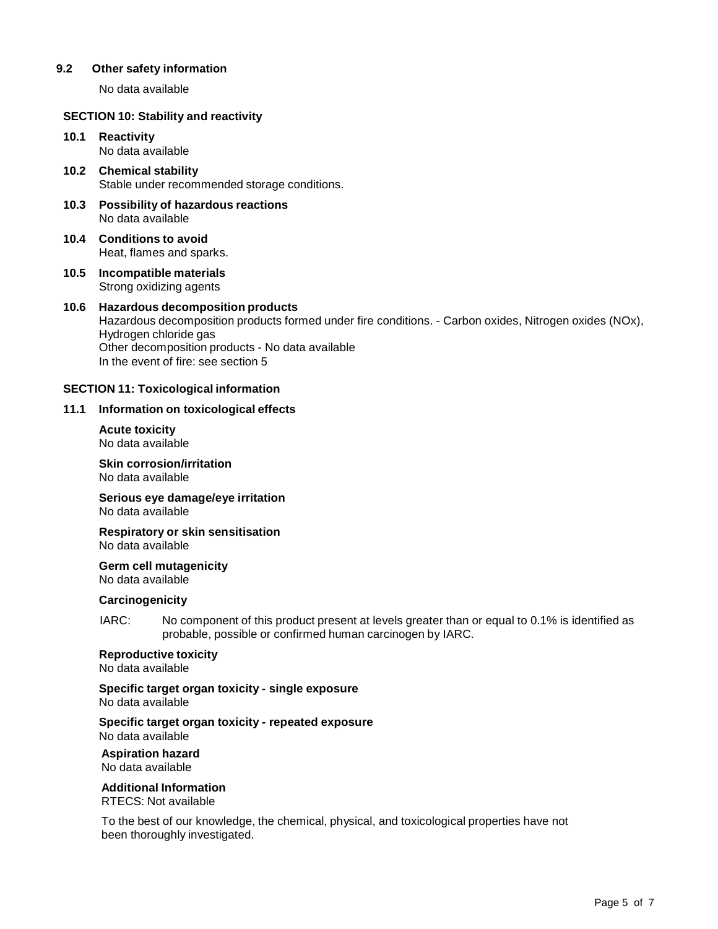# **9.2 Other safety information**

No data available

## **SECTION 10: Stability and reactivity**

#### **10.1 Reactivity** No data available

- **10.2 Chemical stability** Stable under recommended storage conditions.
- **10.3 Possibility of hazardous reactions** No data available
- **10.4 Conditions to avoid** Heat, flames and sparks.
- **10.5 Incompatible materials** Strong oxidizing agents

#### **10.6 Hazardous decomposition products** Hazardous decomposition products formed under fire conditions. - Carbon oxides, Nitrogen oxides (NOx), Hydrogen chloride gas Other decomposition products - No data available In the event of fire: see section 5

## **SECTION 11: Toxicological information**

## **11.1 Information on toxicological effects**

**Acute toxicity** No data available

**Skin corrosion/irritation** No data available

**Serious eye damage/eye irritation** No data available

#### **Respiratory orskin sensitisation** No data available

**Germ cell mutagenicity**

No data available

# **Carcinogenicity**

IARC: No component of this product present at levels greater than or equal to 0.1% is identified as probable, possible or confirmed human carcinogen by IARC.

# **Reproductive toxicity**

No data available

# **Specific target organ toxicity - single exposure**

No data available

#### **Specific target organ toxicity - repeated exposure** No data available

**Aspiration hazard** No data available

# **Additional Information**

RTECS: Not available

To the best of our knowledge, the chemical, physical, and toxicological properties have not been thoroughly investigated.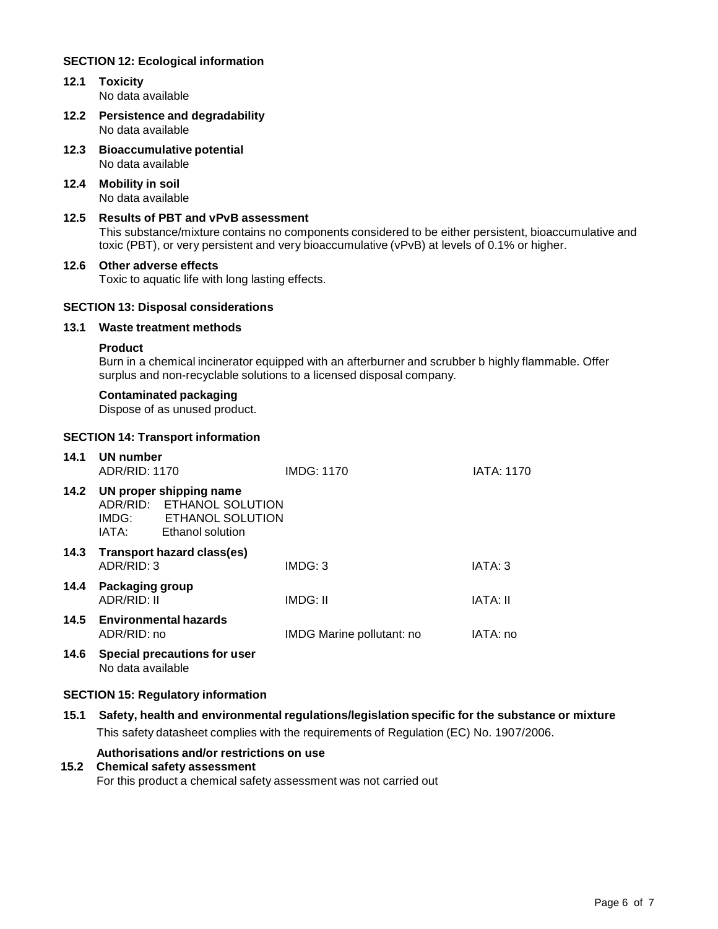# **SECTION 12: Ecological information**

- **12.1 Toxicity** No data available
- **12.2 Persistence and degradability** No data available
- **12.3 Bioaccumulative potential** No data available
- **12.4 Mobility in soil** No data available

# **12.5 Results of PBT and vPvB assessment**

This substance/mixture contains no components considered to be either persistent, bioaccumulative and toxic (PBT), or very persistent and very bioaccumulative (vPvB) at levels of 0.1% or higher.

## **12.6 Other adverse effects**

Toxic to aquatic life with long lasting effects.

## **SECTION 13: Disposal considerations**

## **13.1 Waste treatment methods**

# **Product**

Burn in a chemical incinerator equipped with an afterburner and scrubber b highly flammable. Offer surplus and non-recyclable solutions to a licensed disposal company.

#### **Contaminated packaging**

Dispose of as unused product.

#### **SECTION 14: Transport information**

| 14.1 | UN number<br>ADR/RID: 1170     |                                                                                                    | <b>IMDG: 1170</b>         | <b>IATA: 1170</b> |
|------|--------------------------------|----------------------------------------------------------------------------------------------------|---------------------------|-------------------|
| 14.2 | IATA:                          | UN proper shipping name<br>ADR/RID: ETHANOL SOLUTION<br>IMDG: ETHANOL SOLUTION<br>Ethanol solution |                           |                   |
| 14.3 | ADR/RID: 3                     | Transport hazard class(es)                                                                         | IMDG: 3                   | IATA: 3           |
| 14.4 | Packaging group<br>ADR/RID: II |                                                                                                    | IMDG: II                  | <b>IATA: II</b>   |
| 14.5 | ADR/RID: no                    | <b>Environmental hazards</b>                                                                       | IMDG Marine pollutant: no | IATA: no          |
| 14.6 | No data available              | Special precautions for user                                                                       |                           |                   |

#### **SECTION 15: Regulatory information**

# **15.1 Safety, health and environmental regulations/legislation specific for the substance ormixture**

This safety datasheet complies with the requirements of Regulation (EC) No. 1907/2006.

# **Authorisations and/or restrictions on use**

## **15.2 Chemical safety assessment**

For this product a chemical safety assessment was not carried out